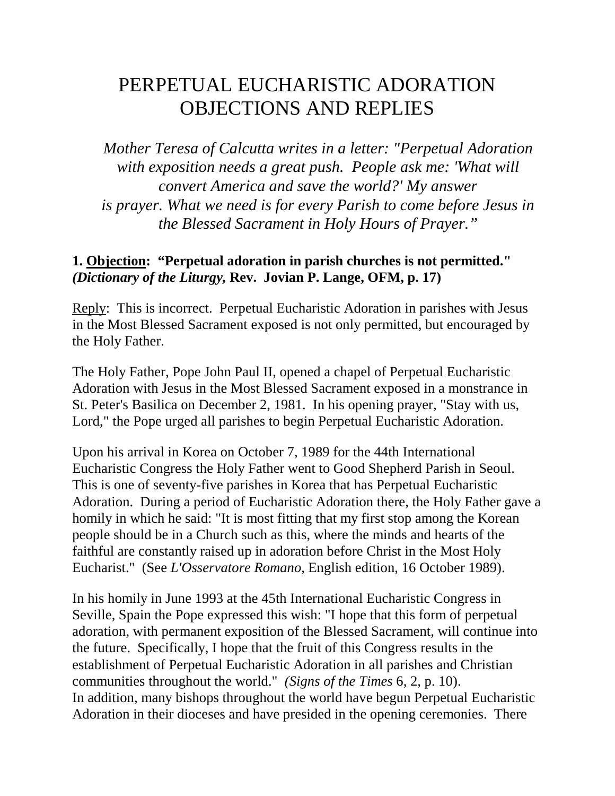# PERPETUAL EUCHARISTIC ADORATION OBJECTIONS AND REPLIES

*Mother Teresa of Calcutta writes in a letter: "Perpetual Adoration with exposition needs a great push. People ask me: 'What will convert America and save the world?' My answer is prayer. What we need is for every Parish to come before Jesus in the Blessed Sacrament in Holy Hours of Prayer."*

## **1. Objection: "Perpetual adoration in parish churches is not permitted."**  *(Dictionary of the Liturgy,* **Rev. Jovian P. Lange, OFM, p. 17)**

Reply: This is incorrect. Perpetual Eucharistic Adoration in parishes with Jesus in the Most Blessed Sacrament exposed is not only permitted, but encouraged by the Holy Father.

The Holy Father, Pope John Paul II, opened a chapel of Perpetual Eucharistic Adoration with Jesus in the Most Blessed Sacrament exposed in a monstrance in St. Peter's Basilica on December 2, 1981. In his opening prayer, "Stay with us, Lord," the Pope urged all parishes to begin Perpetual Eucharistic Adoration.

Upon his arrival in Korea on October 7, 1989 for the 44th International Eucharistic Congress the Holy Father went to Good Shepherd Parish in Seoul. This is one of seventy-five parishes in Korea that has Perpetual Eucharistic Adoration. During a period of Eucharistic Adoration there, the Holy Father gave a homily in which he said: "It is most fitting that my first stop among the Korean people should be in a Church such as this, where the minds and hearts of the faithful are constantly raised up in adoration before Christ in the Most Holy Eucharist." (See *L'Osservatore Romano,* English edition, 16 October 1989).

In his homily in June 1993 at the 45th International Eucharistic Congress in Seville, Spain the Pope expressed this wish: "I hope that this form of perpetual adoration, with permanent exposition of the Blessed Sacrament, will continue into the future. Specifically, I hope that the fruit of this Congress results in the establishment of Perpetual Eucharistic Adoration in all parishes and Christian communities throughout the world." *(Signs of the Times* 6, 2, p. 10). In addition, many bishops throughout the world have begun Perpetual Eucharistic Adoration in their dioceses and have presided in the opening ceremonies. There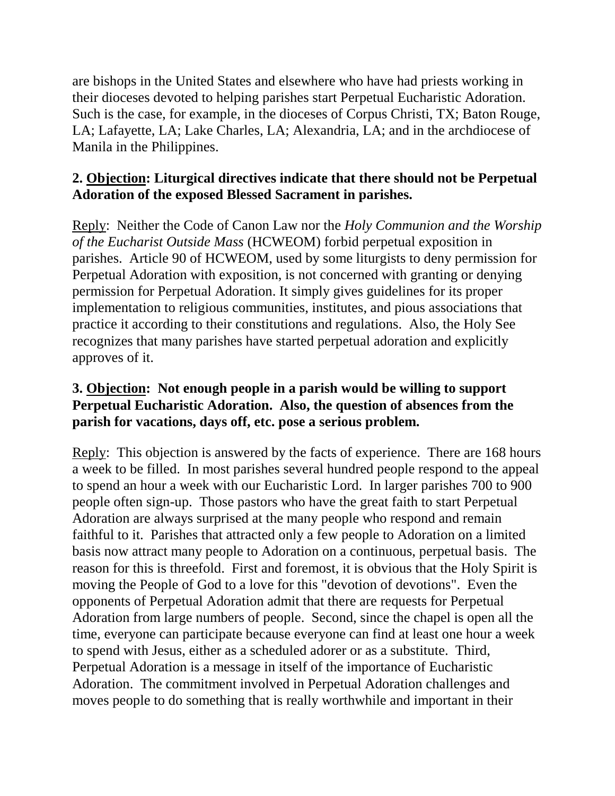are bishops in the United States and elsewhere who have had priests working in their dioceses devoted to helping parishes start Perpetual Eucharistic Adoration. Such is the case, for example, in the dioceses of Corpus Christi, TX; Baton Rouge, LA; Lafayette, LA; Lake Charles, LA; Alexandria, LA; and in the archdiocese of Manila in the Philippines.

# **2. Objection: Liturgical directives indicate that there should not be Perpetual Adoration of the exposed Blessed Sacrament in parishes.**

Reply: Neither the Code of Canon Law nor the *Holy Communion and the Worship of the Eucharist Outside Mass* (HCWEOM) forbid perpetual exposition in parishes. Article 90 of HCWEOM, used by some liturgists to deny permission for Perpetual Adoration with exposition, is not concerned with granting or denying permission for Perpetual Adoration. It simply gives guidelines for its proper implementation to religious communities, institutes, and pious associations that practice it according to their constitutions and regulations. Also, the Holy See recognizes that many parishes have started perpetual adoration and explicitly approves of it.

#### **3. Objection: Not enough people in a parish would be willing to support Perpetual Eucharistic Adoration. Also, the question of absences from the parish for vacations, days off, etc. pose a serious problem.**

Reply: This objection is answered by the facts of experience. There are 168 hours a week to be filled. In most parishes several hundred people respond to the appeal to spend an hour a week with our Eucharistic Lord. In larger parishes 700 to 900 people often sign-up. Those pastors who have the great faith to start Perpetual Adoration are always surprised at the many people who respond and remain faithful to it. Parishes that attracted only a few people to Adoration on a limited basis now attract many people to Adoration on a continuous, perpetual basis. The reason for this is threefold. First and foremost, it is obvious that the Holy Spirit is moving the People of God to a love for this "devotion of devotions". Even the opponents of Perpetual Adoration admit that there are requests for Perpetual Adoration from large numbers of people. Second, since the chapel is open all the time, everyone can participate because everyone can find at least one hour a week to spend with Jesus, either as a scheduled adorer or as a substitute. Third, Perpetual Adoration is a message in itself of the importance of Eucharistic Adoration. The commitment involved in Perpetual Adoration challenges and moves people to do something that is really worthwhile and important in their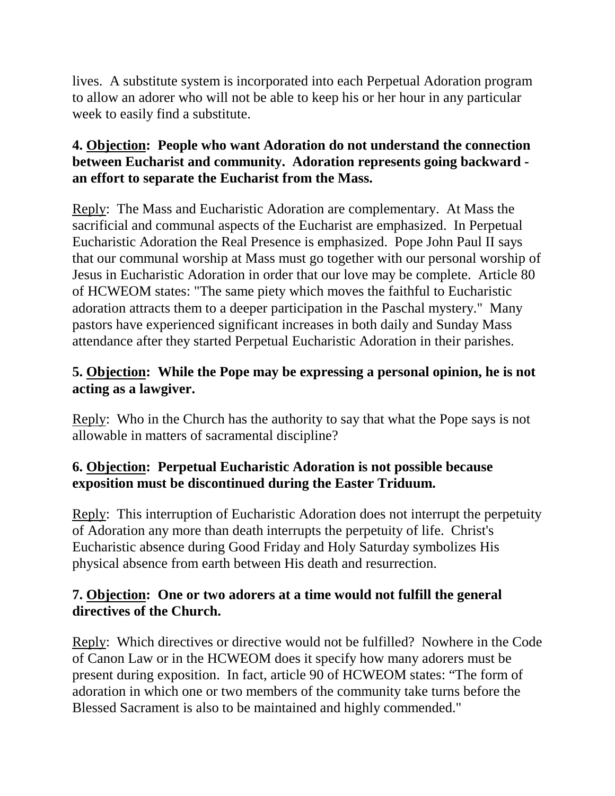lives. A substitute system is incorporated into each Perpetual Adoration program to allow an adorer who will not be able to keep his or her hour in any particular week to easily find a substitute.

## **4. Objection: People who want Adoration do not understand the connection between Eucharist and community. Adoration represents going backward an effort to separate the Eucharist from the Mass.**

Reply: The Mass and Eucharistic Adoration are complementary. At Mass the sacrificial and communal aspects of the Eucharist are emphasized. In Perpetual Eucharistic Adoration the Real Presence is emphasized. Pope John Paul II says that our communal worship at Mass must go together with our personal worship of Jesus in Eucharistic Adoration in order that our love may be complete. Article 80 of HCWEOM states: "The same piety which moves the faithful to Eucharistic adoration attracts them to a deeper participation in the Paschal mystery." Many pastors have experienced significant increases in both daily and Sunday Mass attendance after they started Perpetual Eucharistic Adoration in their parishes.

## **5. Objection: While the Pope may be expressing a personal opinion, he is not acting as a lawgiver.**

Reply: Who in the Church has the authority to say that what the Pope says is not allowable in matters of sacramental discipline?

## **6. Objection: Perpetual Eucharistic Adoration is not possible because exposition must be discontinued during the Easter Triduum.**

Reply: This interruption of Eucharistic Adoration does not interrupt the perpetuity of Adoration any more than death interrupts the perpetuity of life. Christ's Eucharistic absence during Good Friday and Holy Saturday symbolizes His physical absence from earth between His death and resurrection.

## **7. Objection: One or two adorers at a time would not fulfill the general directives of the Church.**

Reply: Which directives or directive would not be fulfilled? Nowhere in the Code of Canon Law or in the HCWEOM does it specify how many adorers must be present during exposition. In fact, article 90 of HCWEOM states: "The form of adoration in which one or two members of the community take turns before the Blessed Sacrament is also to be maintained and highly commended."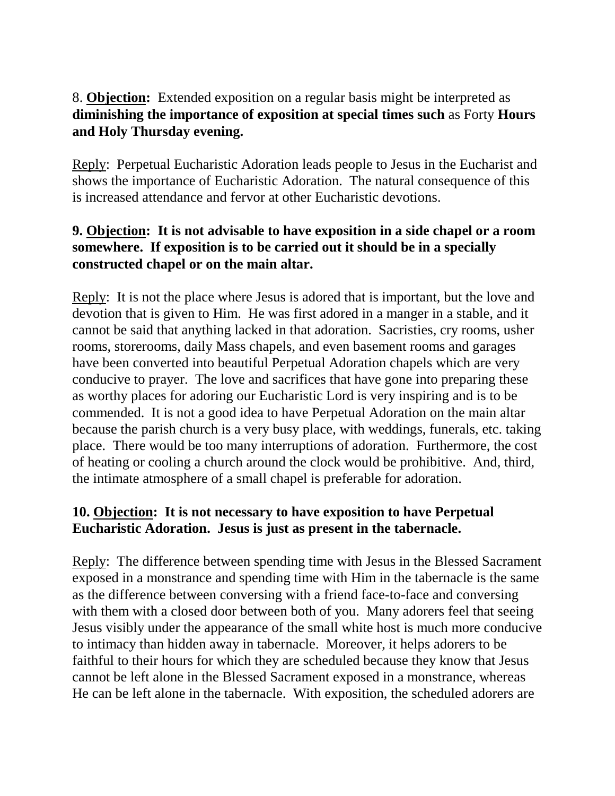## 8. **Objection:** Extended exposition on a regular basis might be interpreted as **diminishing the importance of exposition at special times such** as Forty **Hours and Holy Thursday evening.**

Reply: Perpetual Eucharistic Adoration leads people to Jesus in the Eucharist and shows the importance of Eucharistic Adoration. The natural consequence of this is increased attendance and fervor at other Eucharistic devotions.

## **9. Objection: It is not advisable to have exposition in a side chapel or a room somewhere. If exposition is to be carried out it should be in a specially constructed chapel or on the main altar.**

Reply: It is not the place where Jesus is adored that is important, but the love and devotion that is given to Him. He was first adored in a manger in a stable, and it cannot be said that anything lacked in that adoration. Sacristies, cry rooms, usher rooms, storerooms, daily Mass chapels, and even basement rooms and garages have been converted into beautiful Perpetual Adoration chapels which are very conducive to prayer. The love and sacrifices that have gone into preparing these as worthy places for adoring our Eucharistic Lord is very inspiring and is to be commended. It is not a good idea to have Perpetual Adoration on the main altar because the parish church is a very busy place, with weddings, funerals, etc. taking place. There would be too many interruptions of adoration. Furthermore, the cost of heating or cooling a church around the clock would be prohibitive. And, third, the intimate atmosphere of a small chapel is preferable for adoration.

# **10. Objection: It is not necessary to have exposition to have Perpetual Eucharistic Adoration. Jesus is just as present in the tabernacle.**

Reply: The difference between spending time with Jesus in the Blessed Sacrament exposed in a monstrance and spending time with Him in the tabernacle is the same as the difference between conversing with a friend face-to-face and conversing with them with a closed door between both of you. Many adorers feel that seeing Jesus visibly under the appearance of the small white host is much more conducive to intimacy than hidden away in tabernacle. Moreover, it helps adorers to be faithful to their hours for which they are scheduled because they know that Jesus cannot be left alone in the Blessed Sacrament exposed in a monstrance, whereas He can be left alone in the tabernacle. With exposition, the scheduled adorers are